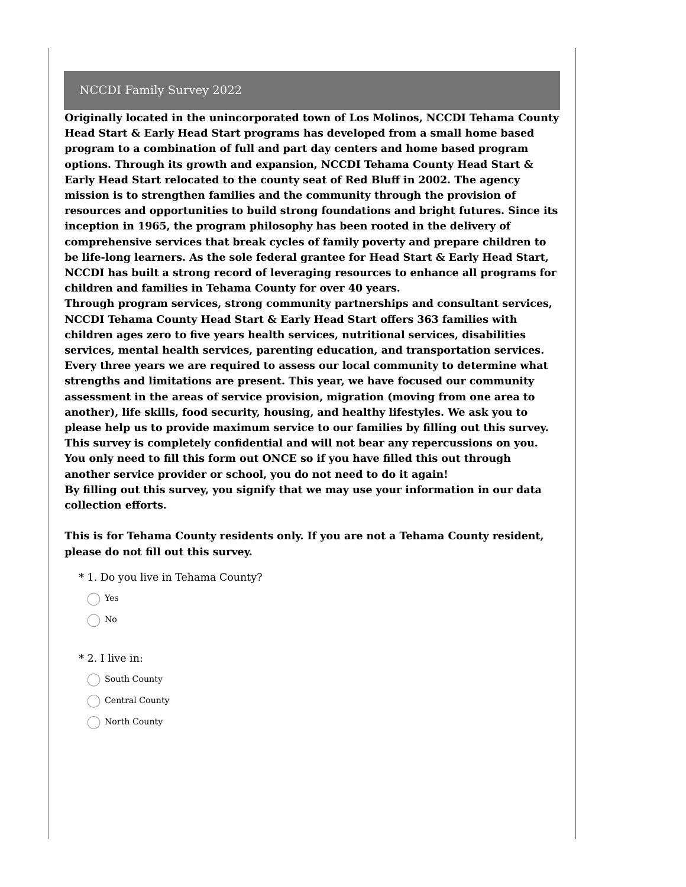#### NCCDI Family Survey 2022

**Originally located in the unincorporated town of Los Molinos, NCCDI Tehama County Head Start & Early Head Start programs has developed from a small home based program to a combination of full and part day centers and home based program options. Through its growth and expansion, NCCDI Tehama County Head Start & Early Head Start relocated to the county seat of Red Bluff in 2002. The agency mission is to strengthen families and the community through the provision of resources and opportunities to build strong foundations and bright futures. Since its inception in 1965, the program philosophy has been rooted in the delivery of comprehensive services that break cycles of family poverty and prepare children to be life-long learners. As the sole federal grantee for Head Start & Early Head Start, NCCDI has built a strong record of leveraging resources to enhance all programs for children and families in Tehama County for over 40 years.**

**Through program services, strong community partnerships and consultant services, NCCDI Tehama County Head Start & Early Head Start offers 363 families with children ages zero to five years health services, nutritional services, disabilities services, mental health services, parenting education, and transportation services. Every three years we are required to assess our local community to determine what strengths and limitations are present. This year, we have focused our community assessment in the areas of service provision, migration (moving from one area to another), life skills, food security, housing, and healthy lifestyles. We ask you to please help us to provide maximum service to our families by filling out this survey. This survey is completely confidential and will not bear any repercussions on you. You only need to fill this form out ONCE so if you have filled this out through another service provider or school, you do not need to do it again! By filling out this survey, you signify that we may use your information in our data collection efforts.**

**This is for Tehama County residents only. If you are not a Tehama County resident, please do not fill out this survey.**

- \* 1. Do you live in Tehama County?
	- ◯ Yes
	- $\bigcirc$  No
- \* 2. I live in:
	- ◯ South County
	- Central County
	- North County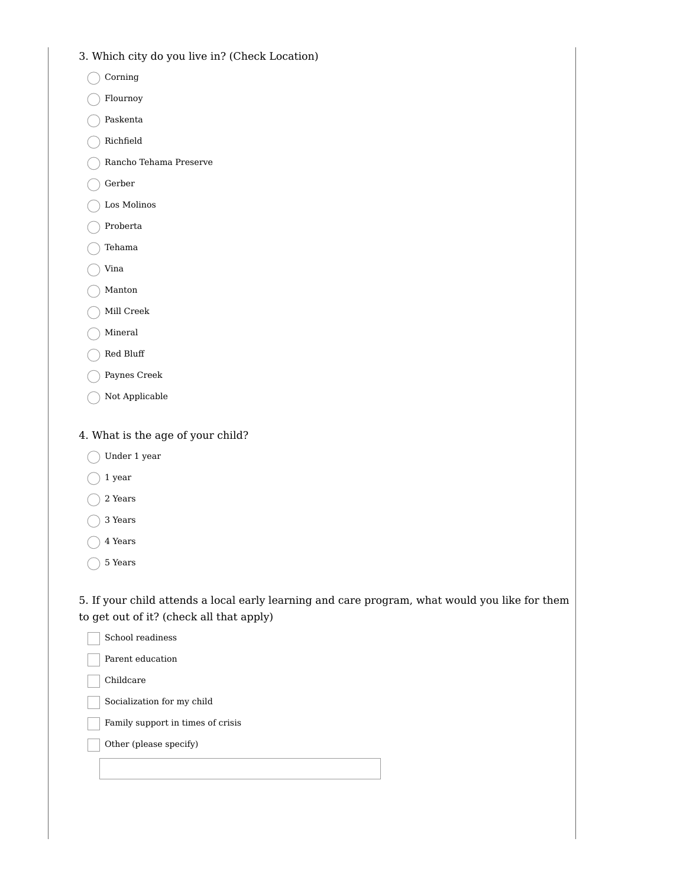- 3. Which city do you live in? (Check Location)
	- $\bigcap$  Corning
	- Flournoy
	- Paskenta  $\left($
	- $\bigcap$  Richfield
	- Rancho Tehama Preserve
	- Gerber
	- Los Molinos
	- Proberta
	- $\bigcap$  Tehama
	- $\bigcirc$  Vina
	- Manton
	- Mill Creek
	- Mineral
	- $\bigcap$  Red Bluff
	- Paynes Creek
	- Not Applicable

## 4. What is the age of your child?

- Under 1 year
- $\bigcirc$  1 year
- ◯ 2 Years
- ◯ 3 Years
- ◯ 4 Years
- $\bigcap$  5 Years

5. If your child attends a local early learning and care program, what would you like for them to get out of it? (check all that apply)

| School readiness                  |  |
|-----------------------------------|--|
| Parent education                  |  |
| Childcare                         |  |
| Socialization for my child        |  |
| Family support in times of crisis |  |
| Other (please specify)            |  |
|                                   |  |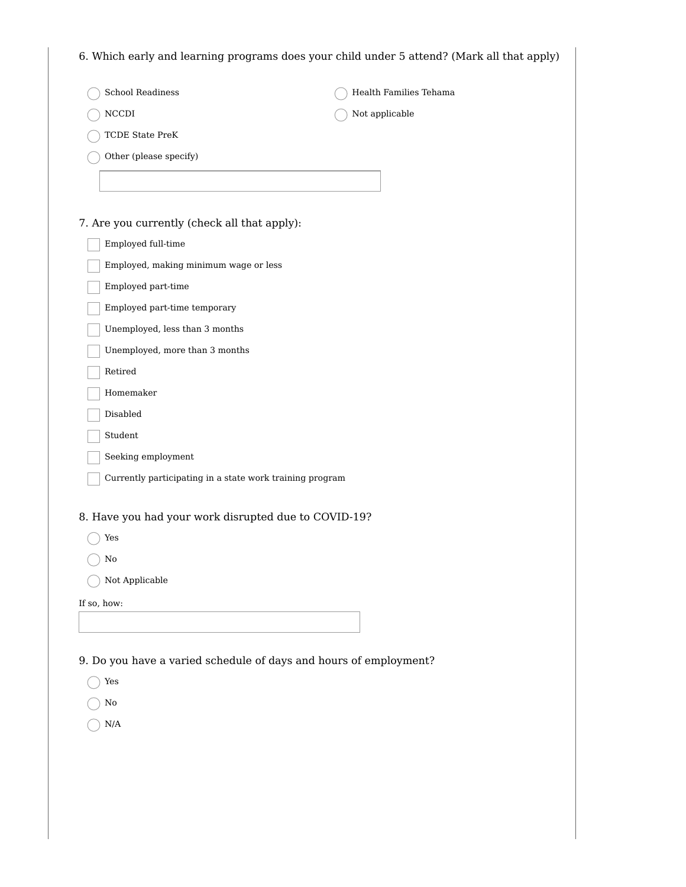| <b>School Readiness</b>                                           | Health Families Tehama |
|-------------------------------------------------------------------|------------------------|
| $\rm NCCDI$                                                       | Not applicable         |
| TCDE State PreK                                                   |                        |
| Other (please specify)                                            |                        |
|                                                                   |                        |
| 7. Are you currently (check all that apply):                      |                        |
| Employed full-time                                                |                        |
| Employed, making minimum wage or less                             |                        |
| Employed part-time                                                |                        |
| Employed part-time temporary                                      |                        |
| Unemployed, less than 3 months                                    |                        |
| Unemployed, more than 3 months                                    |                        |
| Retired                                                           |                        |
| Homemaker                                                         |                        |
| Disabled                                                          |                        |
| Student                                                           |                        |
| Seeking employment                                                |                        |
| Currently participating in a state work training program          |                        |
| 8. Have you had your work disrupted due to COVID-19?              |                        |
| Yes                                                               |                        |
| No                                                                |                        |
| Not Applicable                                                    |                        |
| If so, how:                                                       |                        |
|                                                                   |                        |
|                                                                   |                        |
| 9. Do you have a varied schedule of days and hours of employment? |                        |
| Yes                                                               |                        |
| No                                                                |                        |

 $\bigcirc$  N/A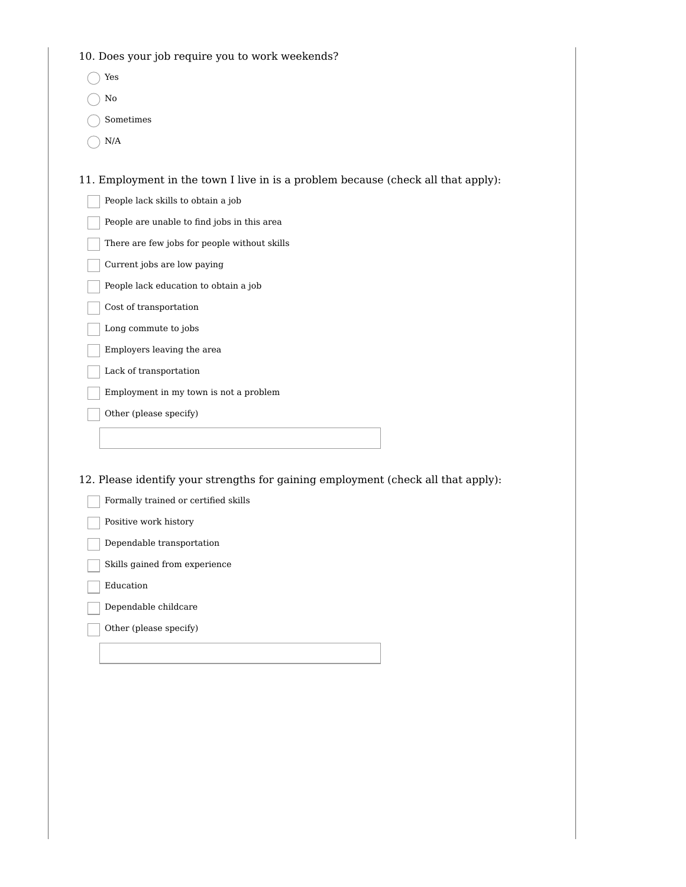| 10. Does your job require you to work weekends?                                   |
|-----------------------------------------------------------------------------------|
| Yes                                                                               |
| No                                                                                |
| Sometimes                                                                         |
| $\rm N/A$                                                                         |
|                                                                                   |
| 11. Employment in the town I live in is a problem because (check all that apply): |
| People lack skills to obtain a job                                                |
| People are unable to find jobs in this area                                       |
| There are few jobs for people without skills                                      |
| Current jobs are low paying                                                       |
| People lack education to obtain a job                                             |
| Cost of transportation                                                            |
| Long commute to jobs                                                              |
| Employers leaving the area                                                        |
| Lack of transportation                                                            |
| Employment in my town is not a problem                                            |
| Other (please specify)                                                            |
|                                                                                   |
|                                                                                   |
| 12. Please identify your strengths for gaining employment (check all that apply): |
| Formally trained or certified skills                                              |
| Positive work history                                                             |
| Dependable transportation                                                         |
| Skills gained from experience                                                     |
| Education                                                                         |
| Dependable childcare                                                              |
| Other (please specify)                                                            |
|                                                                                   |
|                                                                                   |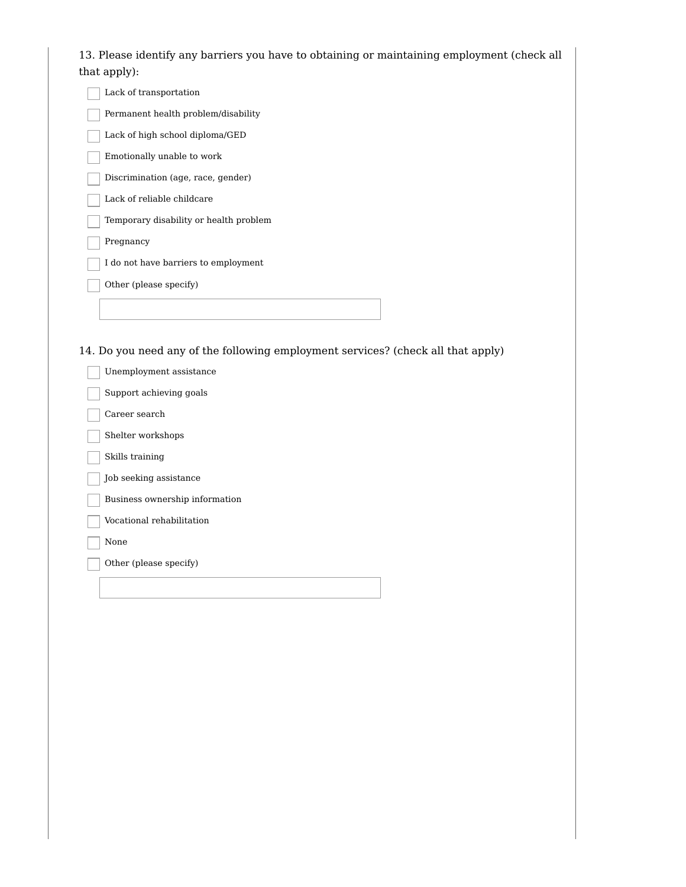13. Please identify any barriers you have to obtaining or maintaining employment (check all that apply):

| Lack of transportation                 |
|----------------------------------------|
| Permanent health problem/disability    |
| Lack of high school diploma/GED        |
| Emotionally unable to work             |
| Discrimination (age, race, gender)     |
| Lack of reliable childcare             |
| Temporary disability or health problem |
| Pregnancy                              |
| I do not have barriers to employment   |
| Other (please specify)                 |
|                                        |
|                                        |
| $\sim$ $\sim$<br>$\sim$ $\sim$ $\sim$  |

14. Do you need any of the following employment services? (check all that apply)

| Unemployment assistance        |
|--------------------------------|
| Support achieving goals        |
| Career search                  |
| Shelter workshops              |
| Skills training                |
| Job seeking assistance         |
| Business ownership information |
| Vocational rehabilitation      |
| None                           |
| Other (please specify)         |
|                                |
|                                |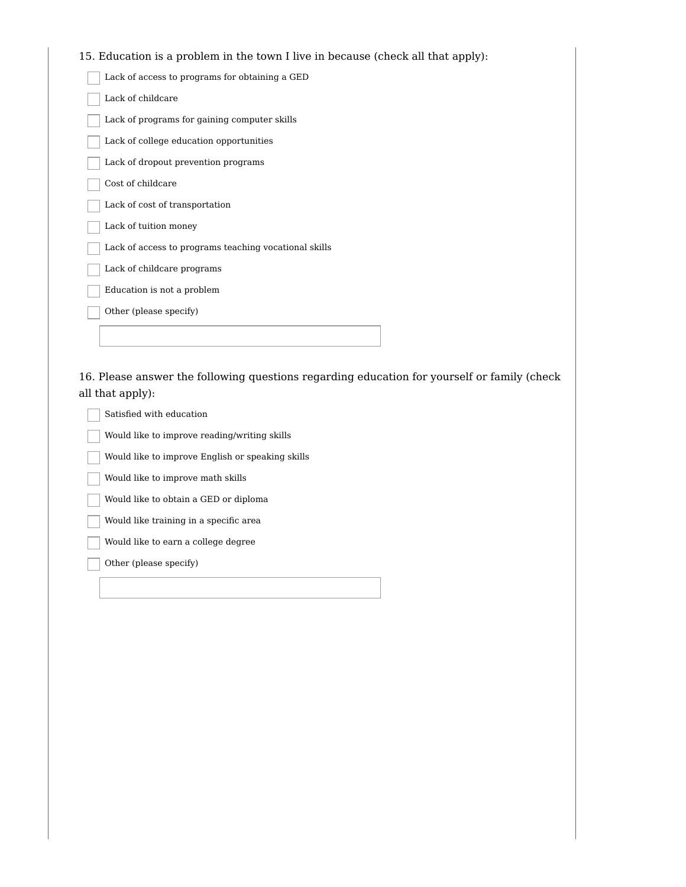## 15. Education is a problem in the town I live in because (check all that apply):

| Lack of access to programs for obtaining a GED        |
|-------------------------------------------------------|
| Lack of childcare                                     |
| Lack of programs for gaining computer skills          |
| Lack of college education opportunities               |
| Lack of dropout prevention programs                   |
| Cost of childcare                                     |
| Lack of cost of transportation                        |
| Lack of tuition money                                 |
| Lack of access to programs teaching vocational skills |
| Lack of childcare programs                            |
| Education is not a problem                            |
| Other (please specify)                                |
|                                                       |
|                                                       |

16. Please answer the following questions regarding education for yourself or family (check all that apply):

Satisfied with education Would like to improve reading/writing skills Would like to improve English or speaking skills Would like to improve math skills Would like to obtain a GED or diploma Would like training in a specific area Would like to earn a college degree

Other (please specify)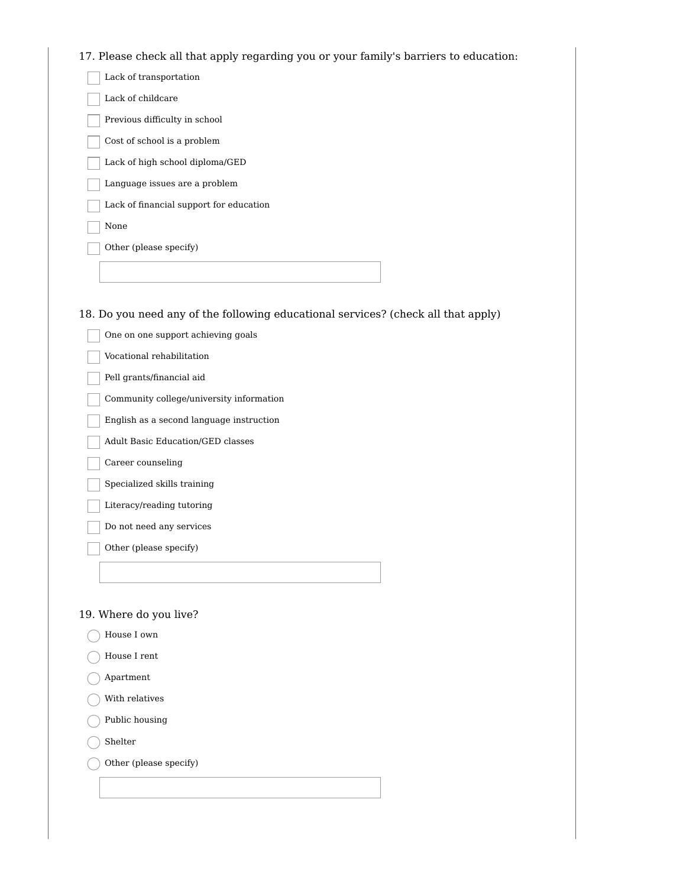# 17. Please check all that apply regarding you or your family's barriers to education:

| Lack of transportation                                                            |
|-----------------------------------------------------------------------------------|
| Lack of childcare                                                                 |
| Previous difficulty in school                                                     |
| Cost of school is a problem                                                       |
| Lack of high school diploma/GED                                                   |
| Language issues are a problem                                                     |
| Lack of financial support for education                                           |
| None                                                                              |
| Other (please specify)                                                            |
|                                                                                   |
|                                                                                   |
| 18. Do you need any of the following educational services? (check all that apply) |
| One on one support achieving goals                                                |

| One on one support active villy goals    |
|------------------------------------------|
| Vocational rehabilitation                |
| Pell grants/financial aid                |
| Community college/university information |
| English as a second language instruction |
| Adult Basic Education/GED classes        |
| Career counseling                        |
| Specialized skills training              |
| Literacy/reading tutoring                |
| Do not need any services                 |
| Other (please specify)                   |
|                                          |
|                                          |

# 19. Where do you live?

- House I own
- House I rent €
- Apartment
- $\bigcirc$  With relatives
- Public housing
- $\bigcap$  Shelter

Other (please specify)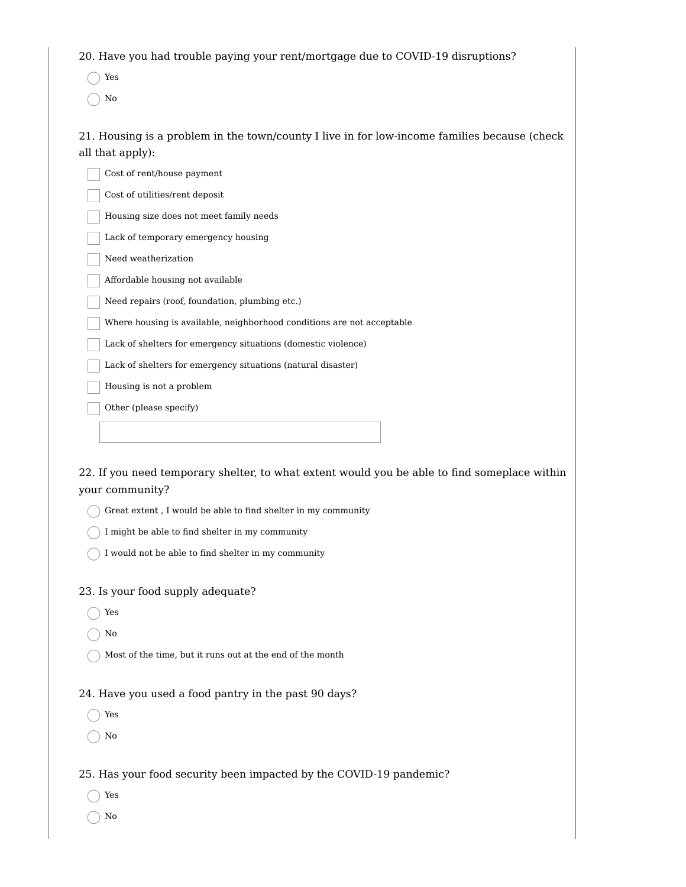20. Have you had trouble paying your rent/mortgage due to COVID-19 disruptions?

Yes

 $\bigcirc$  No

21. Housing is a problem in the town/county I live in for low-income families because (check all that apply):

| Cost of rent/house payment                                             |
|------------------------------------------------------------------------|
| Cost of utilities/rent deposit                                         |
| Housing size does not meet family needs                                |
| Lack of temporary emergency housing                                    |
| Need weatherization                                                    |
| Affordable housing not available                                       |
| Need repairs (roof, foundation, plumbing etc.)                         |
| Where housing is available, neighborhood conditions are not acceptable |
| Lack of shelters for emergency situations (domestic violence)          |
| Lack of shelters for emergency situations (natural disaster)           |
| Housing is not a problem                                               |
| Other (please specify)                                                 |

22. If you need temporary shelter, to what extent would you be able to find someplace within your community?

 $\bigcap$  Great extent , I would be able to find shelter in my community

 $\bigcap$  I might be able to find shelter in my community

 $\bigcap$  I would not be able to find shelter in my community

#### 23. Is your food supply adequate?

◯ Yes

 $\bigcap$  No

 $\bigcap$  Most of the time, but it runs out at the end of the month

24. Have you used a food pantry in the past 90 days?

◯ Yes

 $\bigcap$  No

25. Has your food security been impacted by the COVID-19 pandemic?

◯ Yes

 $\bigcap$  No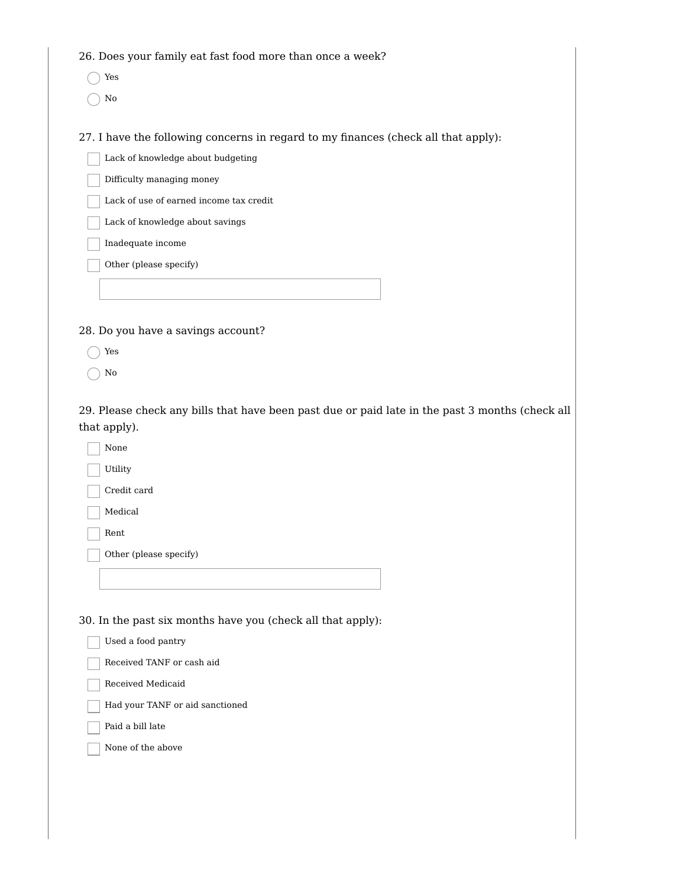26. Does your family eat fast food more than once a week?

- Yes
- $\bigcirc$  No

27. I have the following concerns in regard to my finances (check all that apply):

Lack of knowledge about budgeting

Difficulty managing money

Lack of use of earned income tax credit

Lack of knowledge about savings

Inadequate income

Other (please specify)

28. Do you have a savings account?

- Yes
- $\bigcap$  No

29. Please check any bills that have been past due or paid late in the past 3 months (check all that apply).

None Utility

Credit card

Medical

Rent

Other (please specify)

30. In the past six months have you (check all that apply):

| Used a food pantry |  |  |  |  |  |  |
|--------------------|--|--|--|--|--|--|
|--------------------|--|--|--|--|--|--|

Received TANF or cash aid

Received Medicaid

Had your TANF or aid sanctioned

Paid a bill late

None of the above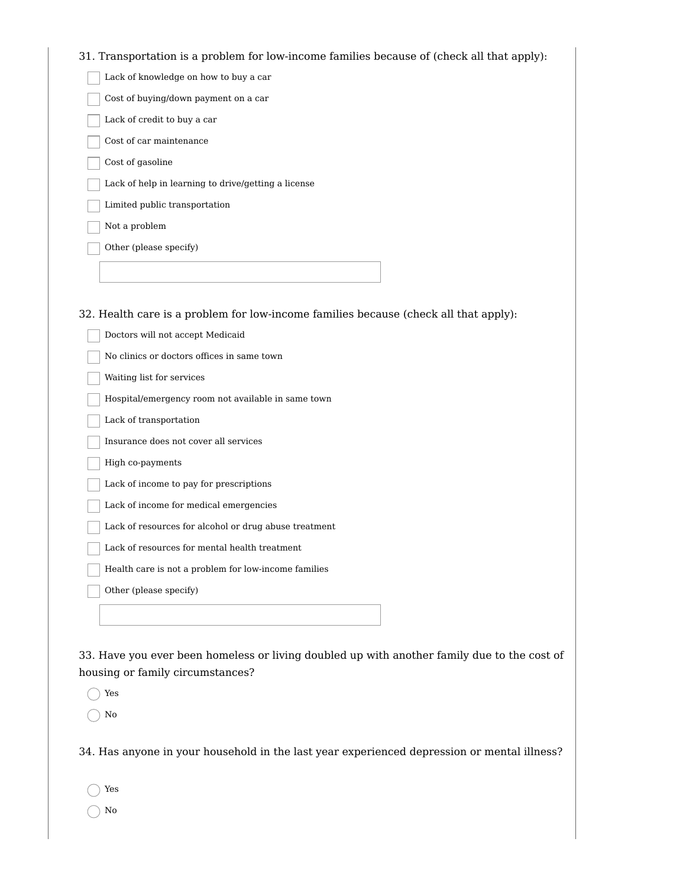# 31. Transportation is a problem for low-income families because of (check all that apply):

| 31. Transportation is a problem for low-income families because of (check all that a |
|--------------------------------------------------------------------------------------|
| Lack of knowledge on how to buy a car                                                |
| Cost of buying/down payment on a car                                                 |
| Lack of credit to buy a car                                                          |
| Cost of car maintenance                                                              |
| Cost of gasoline                                                                     |
| Lack of help in learning to drive/getting a license                                  |
| Limited public transportation                                                        |
| Not a problem                                                                        |
| Other (please specify)                                                               |
|                                                                                      |
|                                                                                      |
| 32. Health care is a problem for low-income families because (check all that apply): |
| Doctors will not accept Medicaid                                                     |
| No clinics or doctors offices in same town                                           |
| Waiting list for services                                                            |
| Hospital/emergency room not available in same town                                   |
| Lack of transportation                                                               |
| Insurance does not cover all services                                                |
| High co-payments                                                                     |
| Lack of income to pay for prescriptions                                              |
| Lack of income for medical emergencies                                               |
| Lack of resources for alcohol or drug abuse treatment                                |
| Lack of resources for mental health treatment                                        |
| Health care is not a problem for low-income families                                 |
| Other (please specify)                                                               |
|                                                                                      |

33. Have you ever been homeless or living doubled up with another family due to the cost of housing or family circumstances?

Yes

 $\bigcap$  No

34. Has anyone in your household in the last year experienced depression or mental illness?

Yes

 $\bigcirc$  No